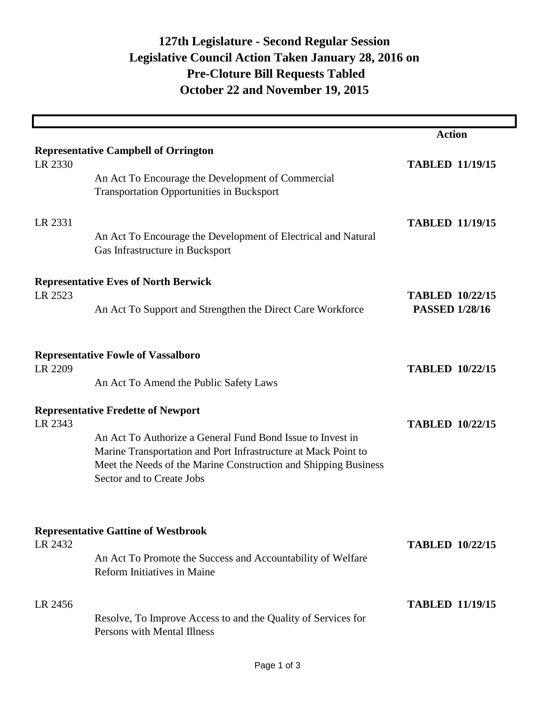## **Pre-Cloture Bill Requests Tabled 127th Legislature - Second Regular Session Legislative Council Action Taken January 28, 2016 on October 22 and November 19, 2015**

|                                            |                                                                 | <b>Action</b>          |  |  |
|--------------------------------------------|-----------------------------------------------------------------|------------------------|--|--|
|                                            | <b>Representative Campbell of Orrington</b>                     |                        |  |  |
| LR 2330                                    |                                                                 | <b>TABLED 11/19/15</b> |  |  |
|                                            | An Act To Encourage the Development of Commercial               |                        |  |  |
|                                            | <b>Transportation Opportunities in Bucksport</b>                |                        |  |  |
|                                            |                                                                 |                        |  |  |
| LR 2331                                    |                                                                 | <b>TABLED 11/19/15</b> |  |  |
|                                            | An Act To Encourage the Development of Electrical and Natural   |                        |  |  |
|                                            | Gas Infrastructure in Bucksport                                 |                        |  |  |
|                                            |                                                                 |                        |  |  |
|                                            | <b>Representative Eves of North Berwick</b>                     |                        |  |  |
| LR 2523                                    |                                                                 | <b>TABLED 10/22/15</b> |  |  |
|                                            | An Act To Support and Strengthen the Direct Care Workforce      | <b>PASSED 1/28/16</b>  |  |  |
|                                            |                                                                 |                        |  |  |
|                                            |                                                                 |                        |  |  |
| <b>Representative Fowle of Vassalboro</b>  |                                                                 |                        |  |  |
| LR 2209                                    |                                                                 | <b>TABLED 10/22/15</b> |  |  |
|                                            | An Act To Amend the Public Safety Laws                          |                        |  |  |
|                                            | <b>Representative Fredette of Newport</b>                       |                        |  |  |
| LR 2343                                    |                                                                 | <b>TABLED 10/22/15</b> |  |  |
|                                            | An Act To Authorize a General Fund Bond Issue to Invest in      |                        |  |  |
|                                            | Marine Transportation and Port Infrastructure at Mack Point to  |                        |  |  |
|                                            | Meet the Needs of the Marine Construction and Shipping Business |                        |  |  |
|                                            | Sector and to Create Jobs                                       |                        |  |  |
|                                            |                                                                 |                        |  |  |
|                                            |                                                                 |                        |  |  |
| <b>Representative Gattine of Westbrook</b> |                                                                 |                        |  |  |
| LR 2432                                    |                                                                 | <b>TABLED 10/22/15</b> |  |  |
|                                            | An Act To Promote the Success and Accountability of Welfare     |                        |  |  |
|                                            | <b>Reform Initiatives in Maine</b>                              |                        |  |  |
|                                            |                                                                 |                        |  |  |
| LR 2456                                    |                                                                 | <b>TABLED 11/19/15</b> |  |  |
|                                            | Resolve, To Improve Access to and the Quality of Services for   |                        |  |  |
|                                            | Persons with Mental Illness                                     |                        |  |  |
|                                            |                                                                 |                        |  |  |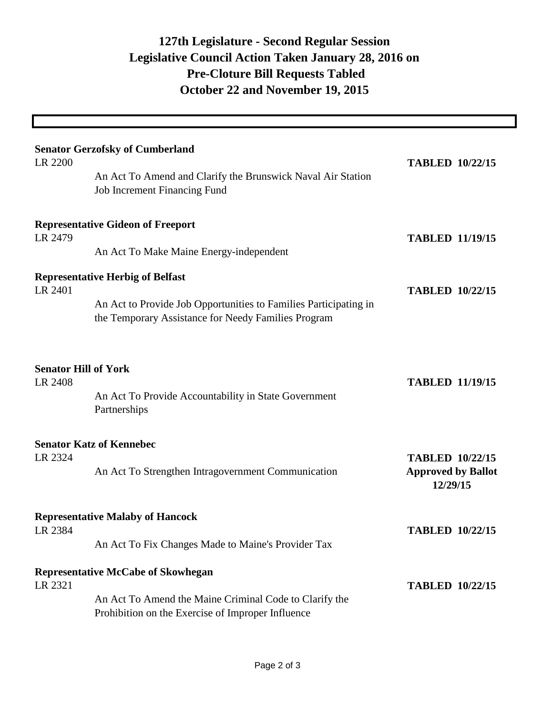## **Pre-Cloture Bill Requests Tabled 127th Legislature - Second Regular Session Legislative Council Action Taken January 28, 2016 on October 22 and November 19, 2015**

|                                        | <b>Senator Gerzofsky of Cumberland</b>                                                                      |                                       |
|----------------------------------------|-------------------------------------------------------------------------------------------------------------|---------------------------------------|
| LR 2200                                | An Act To Amend and Clarify the Brunswick Naval Air Station<br>Job Increment Financing Fund                 | <b>TABLED 10/22/15</b>                |
| LR 2479                                | <b>Representative Gideon of Freeport</b>                                                                    | <b>TABLED 11/19/15</b>                |
|                                        | An Act To Make Maine Energy-independent                                                                     |                                       |
| LR 2401                                | <b>Representative Herbig of Belfast</b><br>An Act to Provide Job Opportunities to Families Participating in | <b>TABLED 10/22/15</b>                |
|                                        | the Temporary Assistance for Needy Families Program                                                         |                                       |
| <b>Senator Hill of York</b><br>LR 2408 |                                                                                                             | <b>TABLED 11/19/15</b>                |
|                                        | An Act To Provide Accountability in State Government<br>Partnerships                                        |                                       |
| LR 2324                                | <b>Senator Katz of Kennebec</b>                                                                             | <b>TABLED 10/22/15</b>                |
|                                        | An Act To Strengthen Intragovernment Communication                                                          | <b>Approved by Ballot</b><br>12/29/15 |
| LR 2384                                | <b>Representative Malaby of Hancock</b>                                                                     | <b>TABLED 10/22/15</b>                |
|                                        | An Act To Fix Changes Made to Maine's Provider Tax                                                          |                                       |
|                                        | <b>Representative McCabe of Skowhegan</b>                                                                   |                                       |
| LR 2321                                | An Act To Amend the Maine Criminal Code to Clarify the<br>Prohibition on the Exercise of Improper Influence | <b>TABLED 10/22/15</b>                |